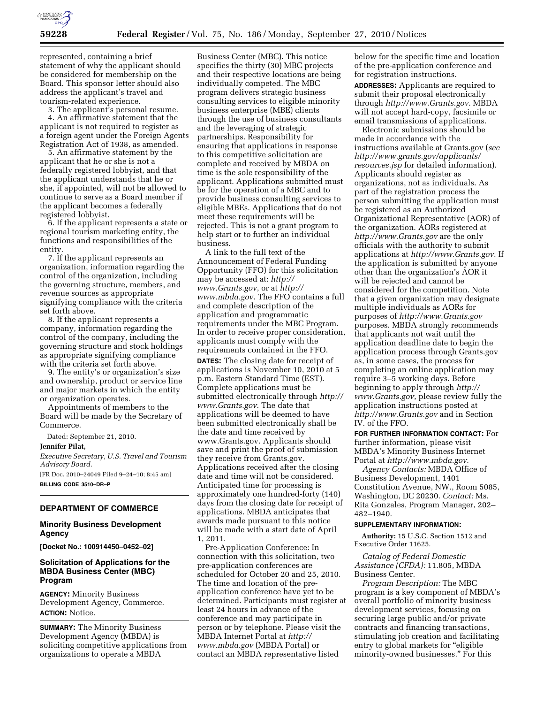

represented, containing a brief statement of why the applicant should be considered for membership on the Board. This sponsor letter should also address the applicant's travel and tourism-related experience.

3. The applicant's personal resume. 4. An affirmative statement that the applicant is not required to register as a foreign agent under the Foreign Agents Registration Act of 1938, as amended.

5. An affirmative statement by the applicant that he or she is not a federally registered lobbyist, and that the applicant understands that he or she, if appointed, will not be allowed to continue to serve as a Board member if the applicant becomes a federally registered lobbyist.

6. If the applicant represents a state or regional tourism marketing entity, the functions and responsibilities of the entity.

7. If the applicant represents an organization, information regarding the control of the organization, including the governing structure, members, and revenue sources as appropriate signifying compliance with the criteria set forth above.

8. If the applicant represents a company, information regarding the control of the company, including the governing structure and stock holdings as appropriate signifying compliance with the criteria set forth above.

9. The entity's or organization's size and ownership, product or service line and major markets in which the entity or organization operates.

Appointments of members to the Board will be made by the Secretary of Commerce.

Dated: September 21, 2010.

**Jennifer Pilat,** 

*Executive Secretary, U.S. Travel and Tourism Advisory Board.* 

[FR Doc. 2010–24049 Filed 9–24–10; 8:45 am] **BILLING CODE 3510–DR–P** 

# **DEPARTMENT OF COMMERCE**

## **Minority Business Development Agency**

**[Docket No.: 100914450–0452–02]** 

## **Solicitation of Applications for the MBDA Business Center (MBC) Program**

**AGENCY:** Minority Business Development Agency, Commerce. **ACTION:** Notice.

**SUMMARY:** The Minority Business Development Agency (MBDA) is soliciting competitive applications from organizations to operate a MBDA

Business Center (MBC). This notice specifies the thirty (30) MBC projects and their respective locations are being individually competed. The MBC program delivers strategic business consulting services to eligible minority business enterprise (MBE) clients through the use of business consultants and the leveraging of strategic partnerships. Responsibility for ensuring that applications in response to this competitive solicitation are complete and received by MBDA on time is the sole responsibility of the applicant. Applications submitted must be for the operation of a MBC and to provide business consulting services to eligible MBEs. Applications that do not meet these requirements will be rejected. This is not a grant program to help start or to further an individual business.

A link to the full text of the Announcement of Federal Funding Opportunity (FFO) for this solicitation may be accessed at: *[http://](http://www.Grants.gov) [www.Grants.gov](http://www.Grants.gov)*, or at *[http://](http://www.mbda.gov)  [www.mbda.gov](http://www.mbda.gov)*. The FFO contains a full and complete description of the application and programmatic requirements under the MBC Program. In order to receive proper consideration, applicants must comply with the requirements contained in the FFO.

**DATES:** The closing date for receipt of applications is November 10, 2010 at 5 p.m. Eastern Standard Time (EST). Complete applications must be submitted electronically through *[http://](http://www.Grants.gov) [www.Grants.gov](http://www.Grants.gov)*. The date that applications will be deemed to have been submitted electronically shall be the date and time received by [www.Grants.gov.](http://www.Grants.gov) Applicants should save and print the proof of submission they receive from Grants.gov. Applications received after the closing date and time will not be considered. Anticipated time for processing is approximately one hundred-forty (140) days from the closing date for receipt of applications. MBDA anticipates that awards made pursuant to this notice will be made with a start date of April 1, 2011.

Pre-Application Conference: In connection with this solicitation, two pre-application conferences are scheduled for October 20 and 25, 2010. The time and location of the preapplication conference have yet to be determined. Participants must register at least 24 hours in advance of the conference and may participate in person or by telephone. Please visit the MBDA Internet Portal at *[http://](http://www.mbda.gov)  [www.mbda.gov](http://www.mbda.gov)* (MBDA Portal) or contact an MBDA representative listed

below for the specific time and location of the pre-application conference and for registration instructions.

**ADDRESSES:** Applicants are required to submit their proposal electronically through *<http://www.Grants.gov>*. MBDA will not accept hard-copy, facsimile or email transmissions of applications.

Electronic submissions should be made in accordance with the instructions available at Grants.gov (*see [http://www.grants.gov/applicants/](http://www.grants.gov/applicants/resources.jsp) [resources.jsp](http://www.grants.gov/applicants/resources.jsp)* for detailed information). Applicants should register as organizations, not as individuals. As part of the registration process the person submitting the application must be registered as an Authorized Organizational Representative (AOR) of the organization. AORs registered at *<http://www.Grants.gov>*are the only officials with the authority to submit applications at *<http://www.Grants.gov>*. If the application is submitted by anyone other than the organization's AOR it will be rejected and cannot be considered for the competition. Note that a given organization may designate multiple individuals as AORs for purposes of *<http://www.Grants.gov>*  purposes. MBDA strongly recommends that applicants not wait until the application deadline date to begin the application process through Grants.gov as, in some cases, the process for completing an online application may require 3–5 working days. Before beginning to apply through *[http://](http://www.Grants.gov) [www.Grants.gov](http://www.Grants.gov)*, please review fully the application instructions posted at *<http://www.Grants.gov>*and in Section IV. of the FFO.

**FOR FURTHER INFORMATION CONTACT:** For further information, please visit MBDA's Minority Business Internet Portal at *<http://www.mbda.gov>*.

*Agency Contacts:* MBDA Office of Business Development, 1401 Constitution Avenue, NW., Room 5085, Washington, DC 20230. *Contact:* Ms. Rita Gonzales, Program Manager, 202– 482–1940.

#### **SUPPLEMENTARY INFORMATION:**

**Authority:** 15 U.S.C. Section 1512 and Executive Order 11625.

*Catalog of Federal Domestic Assistance (CFDA):* 11.805, MBDA Business Center.

*Program Description:* The MBC program is a key component of MBDA's overall portfolio of minority business development services, focusing on securing large public and/or private contracts and financing transactions, stimulating job creation and facilitating entry to global markets for "eligible minority-owned businesses.'' For this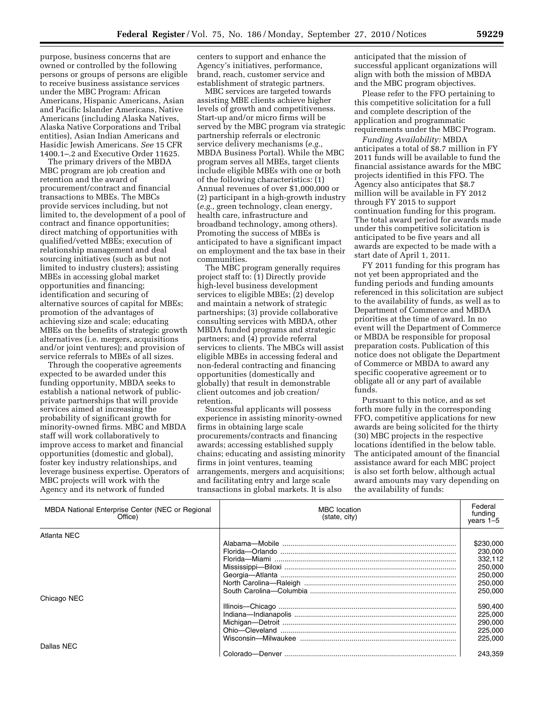purpose, business concerns that are owned or controlled by the following persons or groups of persons are eligible to receive business assistance services under the MBC Program: African Americans, Hispanic Americans, Asian and Pacific Islander Americans, Native Americans (including Alaska Natives, Alaska Native Corporations and Tribal entities), Asian Indian Americans and Hasidic Jewish Americans. *See* 15 CFR 1400.1–.2 and Executive Order 11625.

The primary drivers of the MBDA MBC program are job creation and retention and the award of procurement/contract and financial transactions to MBEs. The MBCs provide services including, but not limited to, the development of a pool of contract and finance opportunities; direct matching of opportunities with qualified/vetted MBEs; execution of relationship management and deal sourcing initiatives (such as but not limited to industry clusters); assisting MBEs in accessing global market opportunities and financing; identification and securing of alternative sources of capital for MBEs; promotion of the advantages of achieving size and scale; educating MBEs on the benefits of strategic growth alternatives (i.e. mergers, acquisitions and/or joint ventures); and provision of service referrals to MBEs of all sizes.

Through the cooperative agreements expected to be awarded under this funding opportunity, MBDA seeks to establish a national network of publicprivate partnerships that will provide services aimed at increasing the probability of significant growth for minority-owned firms. MBC and MBDA staff will work collaboratively to improve access to market and financial opportunities (domestic and global), foster key industry relationships, and leverage business expertise. Operators of MBC projects will work with the Agency and its network of funded

centers to support and enhance the Agency's initiatives, performance, brand, reach, customer service and establishment of strategic partners.

MBC services are targeted towards assisting MBE clients achieve higher levels of growth and competitiveness. Start-up and/or micro firms will be served by the MBC program via strategic partnership referrals or electronic service delivery mechanisms (*e.g.,*  MBDA Business Portal). While the MBC program serves all MBEs, target clients include eligible MBEs with one or both of the following characteristics: (1) Annual revenues of over \$1,000,000 or (2) participant in a high-growth industry (*e.g.,* green technology, clean energy, health care, infrastructure and broadband technology, among others). Promoting the success of MBEs is anticipated to have a significant impact on employment and the tax base in their communities.

The MBC program generally requires project staff to: (1) Directly provide high-level business development services to eligible MBEs; (2) develop and maintain a network of strategic partnerships; (3) provide collaborative consulting services with MBDA, other MBDA funded programs and strategic partners; and (4) provide referral services to clients. The MBCs will assist eligible MBEs in accessing federal and non-federal contracting and financing opportunities (domestically and globally) that result in demonstrable client outcomes and job creation/ retention.

Successful applicants will possess experience in assisting minority-owned firms in obtaining large scale procurements/contracts and financing awards; accessing established supply chains; educating and assisting minority firms in joint ventures, teaming arrangements, mergers and acquisitions; and facilitating entry and large scale transactions in global markets. It is also

anticipated that the mission of successful applicant organizations will align with both the mission of MBDA and the MBC program objectives.

Please refer to the FFO pertaining to this competitive solicitation for a full and complete description of the application and programmatic requirements under the MBC Program.

*Funding Availability:* MBDA anticipates a total of \$8.7 million in FY 2011 funds will be available to fund the financial assistance awards for the MBC projects identified in this FFO. The Agency also anticipates that \$8.7 million will be available in FY 2012 through FY 2015 to support continuation funding for this program. The total award period for awards made under this competitive solicitation is anticipated to be five years and all awards are expected to be made with a start date of April 1, 2011.

FY 2011 funding for this program has not yet been appropriated and the funding periods and funding amounts referenced in this solicitation are subject to the availability of funds, as well as to Department of Commerce and MBDA priorities at the time of award. In no event will the Department of Commerce or MBDA be responsible for proposal preparation costs. Publication of this notice does not obligate the Department of Commerce or MBDA to award any specific cooperative agreement or to obligate all or any part of available funds.

Pursuant to this notice, and as set forth more fully in the corresponding FFO, competitive applications for new awards are being solicited for the thirty (30) MBC projects in the respective locations identified in the below table. The anticipated amount of the financial assistance award for each MBC project is also set forth below, although actual award amounts may vary depending on the availability of funds:

| MBDA National Enterprise Center (NEC or Regional<br>Office) | <b>MBC</b> location<br>(state, city) | Federal<br>funding<br>vears $1-5$ |
|-------------------------------------------------------------|--------------------------------------|-----------------------------------|
| Atlanta NEC                                                 |                                      |                                   |
|                                                             |                                      | \$230,000                         |
|                                                             |                                      | 230,000                           |
|                                                             |                                      | 332,112                           |
|                                                             |                                      | 250,000                           |
|                                                             |                                      | 250,000                           |
|                                                             |                                      | 250,000                           |
|                                                             |                                      | 250,000                           |
| Chicago NEC                                                 |                                      |                                   |
|                                                             |                                      | 590,400                           |
|                                                             |                                      | 225,000                           |
|                                                             |                                      | 290,000                           |
|                                                             |                                      | 225,000                           |
|                                                             |                                      | 225.000                           |
| Dallas NEC                                                  |                                      |                                   |
|                                                             |                                      | 243.359                           |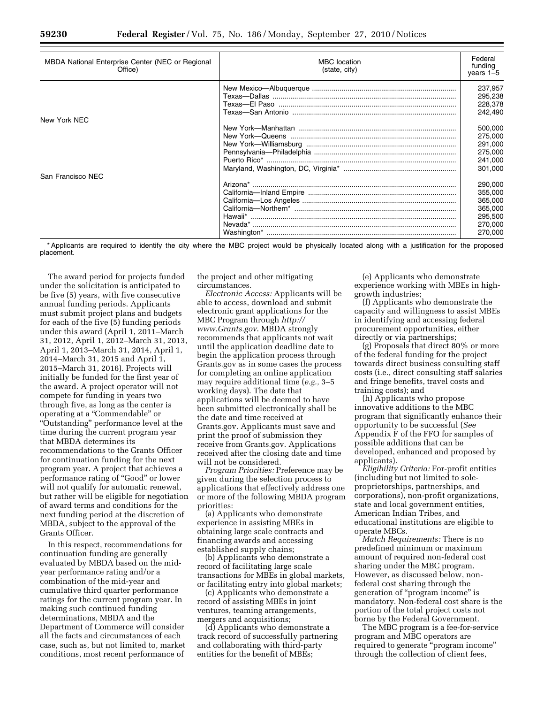| MBDA National Enterprise Center (NEC or Regional<br>Office) | <b>MBC</b> location<br>(state, city) | Federal<br>funding<br>$years 1-5$ |
|-------------------------------------------------------------|--------------------------------------|-----------------------------------|
|                                                             |                                      | 237.957                           |
|                                                             |                                      | 295,238                           |
|                                                             |                                      | 228,378                           |
|                                                             |                                      | 242,490                           |
| New York NEC                                                |                                      |                                   |
|                                                             |                                      | 500.000                           |
|                                                             |                                      | 275,000                           |
|                                                             |                                      | 291,000                           |
|                                                             |                                      | 275,000                           |
|                                                             |                                      | 241,000                           |
|                                                             |                                      | 301,000                           |
| San Francisco NEC                                           |                                      |                                   |
|                                                             |                                      | 290.000                           |
|                                                             |                                      | 355,000                           |
|                                                             |                                      | 365,000                           |
|                                                             |                                      | 365,000                           |
|                                                             |                                      | 295,500                           |
|                                                             |                                      | 270,000                           |
|                                                             |                                      | 270,000                           |
|                                                             |                                      |                                   |

\* Applicants are required to identify the city where the MBC project would be physically located along with a justification for the proposed placement.

The award period for projects funded under the solicitation is anticipated to be five (5) years, with five consecutive annual funding periods. Applicants must submit project plans and budgets for each of the five (5) funding periods under this award (April 1, 2011–March 31, 2012, April 1, 2012–March 31, 2013, April 1, 2013–March 31, 2014, April 1, 2014–March 31, 2015 and April 1, 2015–March 31, 2016). Projects will initially be funded for the first year of the award. A project operator will not compete for funding in years two through five, as long as the center is operating at a ''Commendable'' or ''Outstanding'' performance level at the time during the current program year that MBDA determines its recommendations to the Grants Officer for continuation funding for the next program year. A project that achieves a performance rating of "Good" or lower will not qualify for automatic renewal, but rather will be eligible for negotiation of award terms and conditions for the next funding period at the discretion of MBDA, subject to the approval of the Grants Officer.

In this respect, recommendations for continuation funding are generally evaluated by MBDA based on the midyear performance rating and/or a combination of the mid-year and cumulative third quarter performance ratings for the current program year. In making such continued funding determinations, MBDA and the Department of Commerce will consider all the facts and circumstances of each case, such as, but not limited to, market conditions, most recent performance of

the project and other mitigating circumstances.

*Electronic Access:* Applicants will be able to access, download and submit electronic grant applications for the MBC Program through *[http://](http://www.Grants.gov) [www.Grants.gov](http://www.Grants.gov)*. MBDA strongly recommends that applicants not wait until the application deadline date to begin the application process through Grants.gov as in some cases the process for completing an online application may require additional time (*e.g.,* 3–5 working days). The date that applications will be deemed to have been submitted electronically shall be the date and time received at Grants.gov. Applicants must save and print the proof of submission they receive from Grants.gov. Applications received after the closing date and time will not be considered.

*Program Priorities:* Preference may be given during the selection process to applications that effectively address one or more of the following MBDA program priorities:

(a) Applicants who demonstrate experience in assisting MBEs in obtaining large scale contracts and financing awards and accessing established supply chains;

(b) Applicants who demonstrate a record of facilitating large scale transactions for MBEs in global markets, or facilitating entry into global markets;

(c) Applicants who demonstrate a record of assisting MBEs in joint ventures, teaming arrangements, mergers and acquisitions;

(d) Applicants who demonstrate a track record of successfully partnering and collaborating with third-party entities for the benefit of MBEs;

(e) Applicants who demonstrate experience working with MBEs in highgrowth industries;

(f) Applicants who demonstrate the capacity and willingness to assist MBEs in identifying and accessing federal procurement opportunities, either directly or via partnerships;

(g) Proposals that direct 80% or more of the federal funding for the project towards direct business consulting staff costs (i.e., direct consulting staff salaries and fringe benefits, travel costs and training costs); and

(h) Applicants who propose innovative additions to the MBC program that significantly enhance their opportunity to be successful (*See*  Appendix F of the FFO for samples of possible additions that can be developed, enhanced and proposed by applicants).

*Eligibility Criteria:* For-profit entities (including but not limited to soleproprietorships, partnerships, and corporations), non-profit organizations, state and local government entities, American Indian Tribes, and educational institutions are eligible to operate MBCs.

*Match Requirements:* There is no predefined minimum or maximum amount of required non-federal cost sharing under the MBC program. However, as discussed below, nonfederal cost sharing through the generation of ''program income'' is mandatory. Non-federal cost share is the portion of the total project costs not borne by the Federal Government.

The MBC program is a fee-for-service program and MBC operators are required to generate "program income" through the collection of client fees,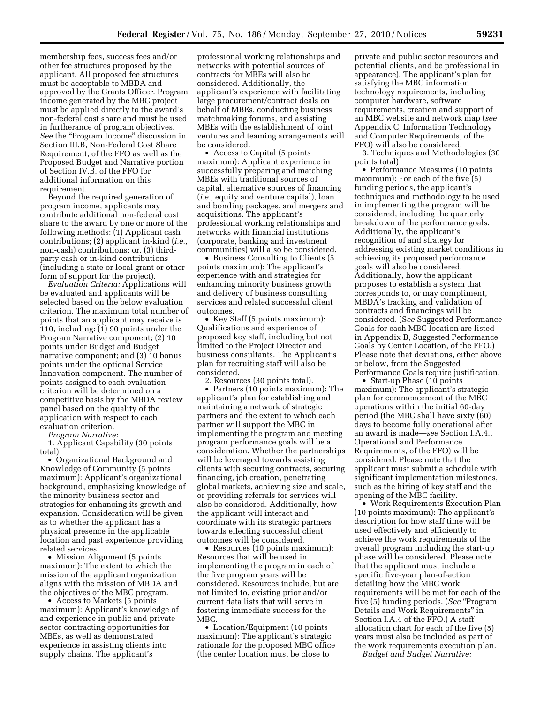membership fees, success fees and/or other fee structures proposed by the applicant. All proposed fee structures must be acceptable to MBDA and approved by the Grants Officer. Program income generated by the MBC project must be applied directly to the award's non-federal cost share and must be used in furtherance of program objectives. See the "Program Income" discussion in Section III.B, Non-Federal Cost Share Requirement, of the FFO as well as the Proposed Budget and Narrative portion of Section IV.B. of the FFO for additional information on this requirement.

Beyond the required generation of program income, applicants may contribute additional non-federal cost share to the award by one or more of the following methods: (1) Applicant cash contributions; (2) applicant in-kind (*i.e.,*  non-cash) contributions; or, (3) thirdparty cash or in-kind contributions (including a state or local grant or other form of support for the project).

*Evaluation Criteria:* Applications will be evaluated and applicants will be selected based on the below evaluation criterion. The maximum total number of points that an applicant may receive is 110, including: (1) 90 points under the Program Narrative component; (2) 10 points under Budget and Budget narrative component; and (3) 10 bonus points under the optional Service Innovation component. The number of points assigned to each evaluation criterion will be determined on a competitive basis by the MBDA review panel based on the quality of the application with respect to each evaluation criterion.

*Program Narrative:* 

1. Applicant Capability (30 points total).

• Organizational Background and Knowledge of Community (5 points maximum): Applicant's organizational background, emphasizing knowledge of the minority business sector and strategies for enhancing its growth and expansion. Consideration will be given as to whether the applicant has a physical presence in the applicable location and past experience providing related services.

• Mission Alignment (5 points maximum): The extent to which the mission of the applicant organization aligns with the mission of MBDA and the objectives of the MBC program.

• Access to Markets (5 points maximum): Applicant's knowledge of and experience in public and private sector contracting opportunities for MBEs, as well as demonstrated experience in assisting clients into supply chains. The applicant's

professional working relationships and networks with potential sources of contracts for MBEs will also be considered. Additionally, the applicant's experience with facilitating large procurement/contract deals on behalf of MBEs, conducting business matchmaking forums, and assisting MBEs with the establishment of joint ventures and teaming arrangements will be considered.

• Access to Capital (5 points maximum): Applicant experience in successfully preparing and matching MBEs with traditional sources of capital, alternative sources of financing (*i.e.,* equity and venture capital), loan and bonding packages, and mergers and acquisitions. The applicant's professional working relationships and networks with financial institutions (corporate, banking and investment communities) will also be considered.

• Business Consulting to Clients (5 points maximum): The applicant's experience with and strategies for enhancing minority business growth and delivery of business consulting services and related successful client outcomes.

• Key Staff (5 points maximum): Qualifications and experience of proposed key staff, including but not limited to the Project Director and business consultants. The Applicant's plan for recruiting staff will also be considered.

2. Resources (30 points total).

• Partners (10 points maximum): The applicant's plan for establishing and maintaining a network of strategic partners and the extent to which each partner will support the MBC in implementing the program and meeting program performance goals will be a consideration. Whether the partnerships will be leveraged towards assisting clients with securing contracts, securing financing, job creation, penetrating global markets, achieving size and scale, or providing referrals for services will also be considered. Additionally, how the applicant will interact and coordinate with its strategic partners towards effecting successful client outcomes will be considered.

• Resources (10 points maximum): Resources that will be used in implementing the program in each of the five program years will be considered. Resources include, but are not limited to, existing prior and/or current data lists that will serve in fostering immediate success for the MBC.

• Location/Equipment (10 points) maximum): The applicant's strategic rationale for the proposed MBC office (the center location must be close to

private and public sector resources and potential clients, and be professional in appearance). The applicant's plan for satisfying the MBC information technology requirements, including computer hardware, software requirements, creation and support of an MBC website and network map (*see*  Appendix C, Information Technology and Computer Requirements, of the FFO) will also be considered.

3. Techniques and Methodologies (30 points total)

• Performance Measures (10 points maximum): For each of the five (5) funding periods, the applicant's techniques and methodology to be used in implementing the program will be considered, including the quarterly breakdown of the performance goals. Additionally, the applicant's recognition of and strategy for addressing existing market conditions in achieving its proposed performance goals will also be considered. Additionally, how the applicant proposes to establish a system that corresponds to, or may compliment, MBDA's tracking and validation of contracts and financings will be considered. (S*ee* Suggested Performance Goals for each MBC location are listed in Appendix B, Suggested Performance Goals by Center Location, of the FFO.) Please note that deviations, either above or below, from the Suggested Performance Goals require justification.

• Start-up Phase (10 points maximum): The applicant's strategic plan for commencement of the MBC operations within the initial 60-day period (the MBC shall have sixty (60) days to become fully operational after an award is made—*see* Section I.A.4., Operational and Performance Requirements, of the FFO) will be considered. Please note that the applicant must submit a schedule with significant implementation milestones, such as the hiring of key staff and the opening of the MBC facility.

• Work Requirements Execution Plan (10 points maximum): The applicant's description for how staff time will be used effectively and efficiently to achieve the work requirements of the overall program including the start-up phase will be considered. Please note that the applicant must include a specific five-year plan-of-action detailing how the MBC work requirements will be met for each of the five (5) funding periods. (*See* ''Program Details and Work Requirements'' in Section I.A.4 of the FFO.) A staff allocation chart for each of the five (5) years must also be included as part of the work requirements execution plan.

*Budget and Budget Narrative:*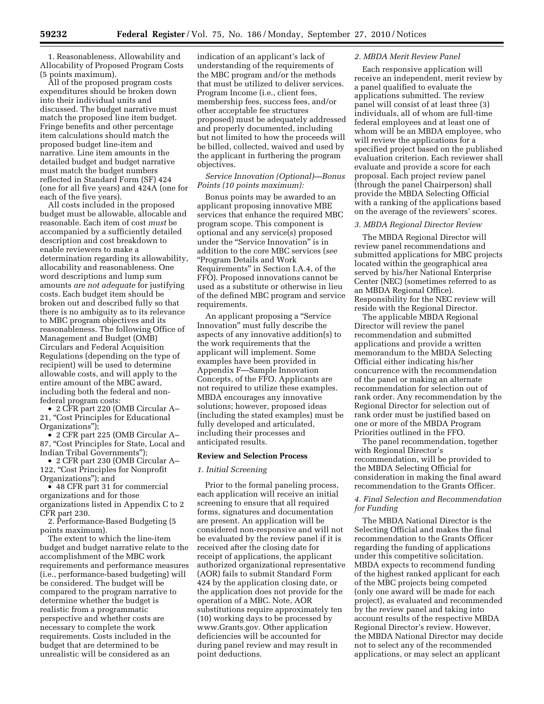1. Reasonableness, Allowability and Allocability of Proposed Program Costs (5 points maximum).

All of the proposed program costs expenditures should be broken down into their individual units and discussed. The budget narrative must match the proposed line item budget. Fringe benefits and other percentage item calculations should match the proposed budget line-item and narrative. Line item amounts in the detailed budget and budget narrative must match the budget numbers reflected in Standard Form (SF) 424 (one for all five years) and 424A (one for each of the five years).

All costs included in the proposed budget must be allowable, allocable and reasonable. Each item of cost *must* be accompanied by a sufficiently detailed description and cost breakdown to enable reviewers to make a determination regarding its allowability, allocability and reasonableness. One word descriptions and lump sum amounts *are not adequate* for justifying costs. Each budget item should be broken out and described fully so that there is no ambiguity as to its relevance to MBC program objectives and its reasonableness. The following Office of Management and Budget (OMB) Circulars and Federal Acquisition Regulations (depending on the type of recipient) will be used to determine allowable costs, and will apply to the entire amount of the MBC award, including both the federal and nonfederal program costs:

• 2 CFR part 220 (OMB Circular A– 21, "Cost Principles for Educational Organizations'');

• 2 CFR part 225 (OMB Circular A– 87, ''Cost Principles for State, Local and Indian Tribal Governments'');

• 2 CFR part 230 (OMB Circular A– 122, "Cost Principles for Nonprofit Organizations''); and

• 48 CFR part 31 for commercial organizations and for those organizations listed in Appendix C to 2 CFR part 230.

2. Performance-Based Budgeting (5 points maximum).

The extent to which the line-item budget and budget narrative relate to the accomplishment of the MBC work requirements and performance measures (i.e., performance-based budgeting) will be considered. The budget will be compared to the program narrative to determine whether the budget is realistic from a programmatic perspective and whether costs are necessary to complete the work requirements. Costs included in the budget that are determined to be unrealistic will be considered as an

indication of an applicant's lack of understanding of the requirements of the MBC program and/or the methods that must be utilized to deliver services. Program Income (i.e., client fees, membership fees, success fees, and/or other acceptable fee structures proposed) must be adequately addressed and properly documented, including but not limited to how the proceeds will be billed, collected, waived and used by the applicant in furthering the program objectives.

# *Service Innovation (Optional)—Bonus Points (10 points maximum):*

Bonus points may be awarded to an applicant proposing innovative MBE services that enhance the required MBC program scope. This component is optional and any service(s) proposed under the ''Service Innovation'' is in addition to the core MBC services (*see*  ''Program Details and Work Requirements'' in Section I.A.4, of the FFO). Proposed innovations cannot be used as a substitute or otherwise in lieu of the defined MBC program and service requirements.

An applicant proposing a ''Service Innovation'' must fully describe the aspects of any innovative addition(s) to the work requirements that the applicant will implement. Some examples have been provided in Appendix F—Sample Innovation Concepts, of the FFO. Applicants are not required to utilize these examples. MBDA encourages any innovative solutions; however, proposed ideas (including the stated examples) must be fully developed and articulated, including their processes and anticipated results.

#### **Review and Selection Process**

#### *1. Initial Screening*

Prior to the formal paneling process, each application will receive an initial screening to ensure that all required forms, signatures and documentation are present. An application will be considered non-responsive and will not be evaluated by the review panel if it is received after the closing date for receipt of applications, the applicant authorized organizational representative (AOR) fails to submit Standard Form 424 by the application closing date, or the application does not provide for the operation of a MBC. Note, AOR substitutions require approximately ten (10) working days to be processed by [www.Grants.gov](http://www.Grants.gov). Other application deficiencies will be accounted for during panel review and may result in point deductions.

## *2. MBDA Merit Review Panel*

Each responsive application will receive an independent, merit review by a panel qualified to evaluate the applications submitted. The review panel will consist of at least three (3) individuals, all of whom are full-time federal employees and at least one of whom will be an MBDA employee, who will review the applications for a specified project based on the published evaluation criterion. Each reviewer shall evaluate and provide a score for each proposal. Each project review panel (through the panel Chairperson) shall provide the MBDA Selecting Official with a ranking of the applications based on the average of the reviewers' scores.

#### *3. MBDA Regional Director Review*

The MBDA Regional Director will review panel recommendations and submitted applications for MBC projects located within the geographical area served by his/her National Enterprise Center (NEC) (sometimes referred to as an MBDA Regional Office). Responsibility for the NEC review will reside with the Regional Director.

The applicable MBDA Regional Director will review the panel recommendation and submitted applications and provide a written memorandum to the MBDA Selecting Official either indicating his/her concurrence with the recommendation of the panel or making an alternate recommendation for selection out of rank order. Any recommendation by the Regional Director for selection out of rank order must be justified based on one or more of the MBDA Program Priorities outlined in the FFO.

The panel recommendation, together with Regional Director's recommendation, will be provided to the MBDA Selecting Official for consideration in making the final award recommendation to the Grants Officer.

## *4. Final Selection and Recommendation for Funding*

The MBDA National Director is the Selecting Official and makes the final recommendation to the Grants Officer regarding the funding of applications under this competitive solicitation. MBDA expects to recommend funding of the highest ranked applicant for each of the MBC projects being competed (only one award will be made for each project), as evaluated and recommended by the review panel and taking into account results of the respective MBDA Regional Director's review. However, the MBDA National Director may decide not to select any of the recommended applications, or may select an applicant